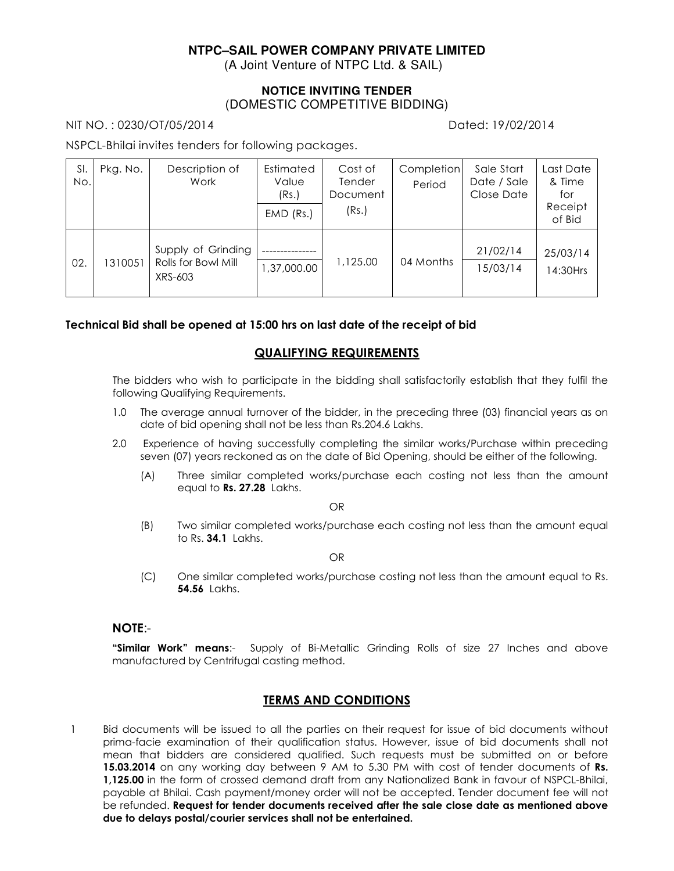# **NTPC–SAIL POWER COMPANY PRIVATE LIMITED**

(A Joint Venture of NTPC Ltd. & SAIL)

# **NOTICE INVITING TENDER**  (DOMESTIC COMPETITIVE BIDDING)

NIT NO. : 0230/OT/05/2014 Dated: 19/02/2014

NSPCL-Bhilai invites tenders for following packages.

| SI.<br>No. | Pkg. No. | Description of<br>Work                               | Estimated<br>Value<br>(Rs.)<br>$EMD$ (Rs.) | Cost of<br>Tender<br>Document<br>(Rs.) | Completion<br>Period | Sale Start<br>Date / Sale<br>Close Date | Last Date<br>& Time<br>for<br>Receipt<br>of Bid |
|------------|----------|------------------------------------------------------|--------------------------------------------|----------------------------------------|----------------------|-----------------------------------------|-------------------------------------------------|
| 02.        | 1310051  | Supply of Grinding<br>Rolls for Bowl Mill<br>XRS-603 | 1,37,000.00                                | 1,125.00                               | 04 Months            | 21/02/14<br>15/03/14                    | 25/03/14<br>14:30Hrs                            |

#### **Technical Bid shall be opened at 15:00 hrs on last date of the receipt of bid**

## **QUALIFYING REQUIREMENTS**

The bidders who wish to participate in the bidding shall satisfactorily establish that they fulfil the following Qualifying Requirements.

- 1.0 The average annual turnover of the bidder, in the preceding three (03) financial years as on date of bid opening shall not be less than Rs.204.6 Lakhs.
- 2.0 Experience of having successfully completing the similar works/Purchase within preceding seven (07) years reckoned as on the date of Bid Opening, should be either of the following.
	- (A) Three similar completed works/purchase each costing not less than the amount equal to **Rs. 27.28** Lakhs.

OR

(B) Two similar completed works/purchase each costing not less than the amount equal to Rs. **34.1** Lakhs.

OR

(C) One similar completed works/purchase costing not less than the amount equal to Rs. **54.56** Lakhs.

#### **NOTE**:-

**"Similar Work" means**:- Supply of Bi-Metallic Grinding Rolls of size 27 Inches and above manufactured by Centrifugal casting method.

## **TERMS AND CONDITIONS**

1 Bid documents will be issued to all the parties on their request for issue of bid documents without prima-facie examination of their qualification status. However, issue of bid documents shall not mean that bidders are considered qualified. Such requests must be submitted on or before **15.03.2014** on any working day between 9 AM to 5.30 PM with cost of tender documents of **Rs. 1,125.00** in the form of crossed demand draft from any Nationalized Bank in favour of NSPCL-Bhilai, payable at Bhilai. Cash payment/money order will not be accepted. Tender document fee will not be refunded. **Request for tender documents received after the sale close date as mentioned above due to delays postal/courier services shall not be entertained.**